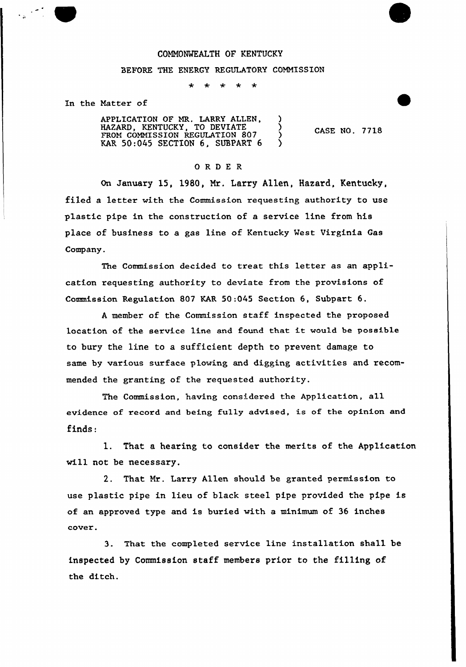## COMMONWEALTH OF KENTUCKY

## BEFORE THE ENERGY REGULATORY COMMISSION

 $\star$   $\star$  $\bigstar$  $\star$ 

In the Matter of

APPLICATION OF MR. LARRY ALLEN, HAZARD, KENTUCKY, TO DEVIATE ) FROM COMMISSION REGULATION 807 FROM COMMISSION REGULATION 807 )<br>KAR 50:045 SECTION 6, SUBPART 6 )

CASE NO. 7718

## 0 R <sup>D</sup> E R

On January 15, 1980, Nr. Larry Allen, Hazard, Kentucky, filed a letter with the Commission requesting authority to use plastic pipe in the construction of a service line from his place of business to a gas line of Kentucky West Virginia Gas Company.

The Commission decided to treat this letter as an application requesting authority to deviate from the provisions of Commission Regulation 807 KAR 50:045 Section 6, Subpart 6.

<sup>A</sup> member of the Commission staff inspected the proposed location of the service 1ine and found that it would be passible to bury the line to a sufficient depth to prevent damage to same by various surface plowing and digging activities and recommended the granting of the requested authority.

The Commission, having considered the Application, all evidence of record and being fully advised, is of the opinion and finds:

1. That a hearing to consider the merits of the Application will not be necessary.

2. That Mr. Larry Allen should be granted permission to use plastic pipe in lieu of black steel pipe provided the pipe is of an approved type and is buried with a minimum of 36 inches cover.

3. That the completed service line installation shall be inspected by Commission staff members prior to the filling of the ditch.